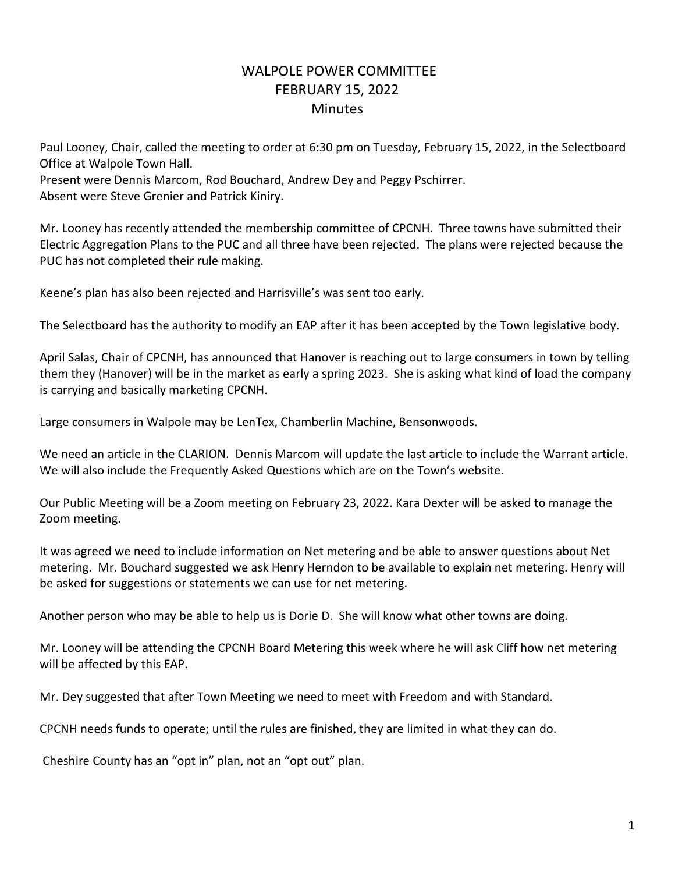## WALPOLE POWER COMMITTEE FEBRUARY 15, 2022 **Minutes**

Paul Looney, Chair, called the meeting to order at 6:30 pm on Tuesday, February 15, 2022, in the Selectboard Office at Walpole Town Hall.

Present were Dennis Marcom, Rod Bouchard, Andrew Dey and Peggy Pschirrer. Absent were Steve Grenier and Patrick Kiniry.

Mr. Looney has recently attended the membership committee of CPCNH. Three towns have submitted their Electric Aggregation Plans to the PUC and all three have been rejected. The plans were rejected because the PUC has not completed their rule making.

Keene's plan has also been rejected and Harrisville's was sent too early.

The Selectboard has the authority to modify an EAP after it has been accepted by the Town legislative body.

April Salas, Chair of CPCNH, has announced that Hanover is reaching out to large consumers in town by telling them they (Hanover) will be in the market as early a spring 2023. She is asking what kind of load the company is carrying and basically marketing CPCNH.

Large consumers in Walpole may be LenTex, Chamberlin Machine, Bensonwoods.

We need an article in the CLARION. Dennis Marcom will update the last article to include the Warrant article. We will also include the Frequently Asked Questions which are on the Town's website.

Our Public Meeting will be a Zoom meeting on February 23, 2022. Kara Dexter will be asked to manage the Zoom meeting.

It was agreed we need to include information on Net metering and be able to answer questions about Net metering. Mr. Bouchard suggested we ask Henry Herndon to be available to explain net metering. Henry will be asked for suggestions or statements we can use for net metering.

Another person who may be able to help us is Dorie D. She will know what other towns are doing.

Mr. Looney will be attending the CPCNH Board Metering this week where he will ask Cliff how net metering will be affected by this EAP.

Mr. Dey suggested that after Town Meeting we need to meet with Freedom and with Standard.

CPCNH needs funds to operate; until the rules are finished, they are limited in what they can do.

Cheshire County has an "opt in" plan, not an "opt out" plan.